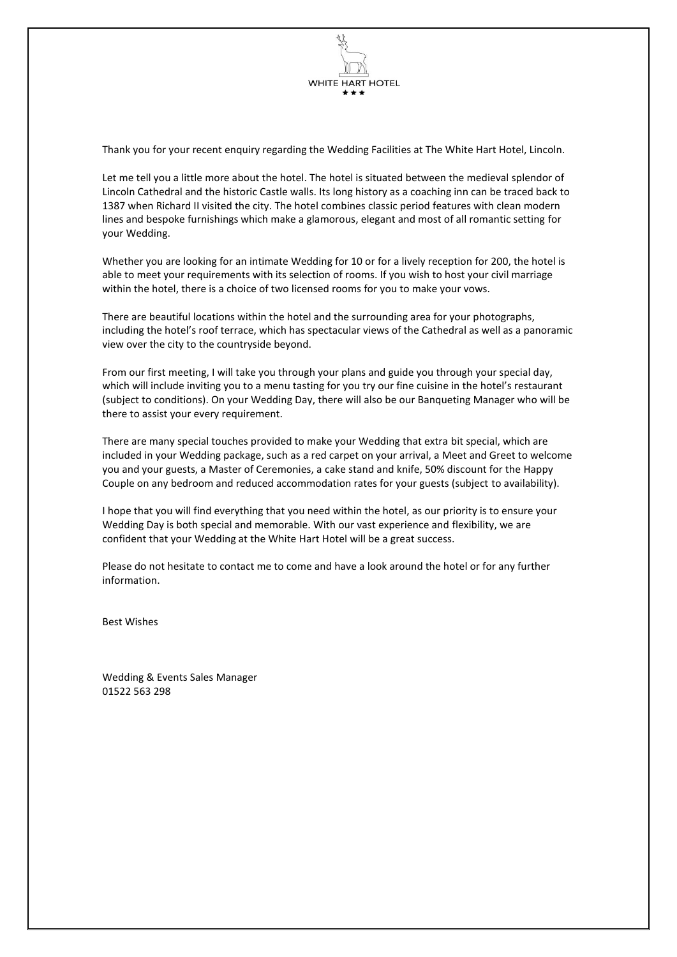

Thank you for your recent enquiry regarding the Wedding Facilities at The White Hart Hotel, Lincoln.

Let me tell you a little more about the hotel. The hotel is situated between the medieval splendor of Lincoln Cathedral and the historic Castle walls. Its long history as a coaching inn can be traced back to 1387 when Richard II visited the city. The hotel combines classic period features with clean modern lines and bespoke furnishings which make a glamorous, elegant and most of all romantic setting for your Wedding.

Whether you are looking for an intimate Wedding for 10 or for a lively reception for 200, the hotel is able to meet your requirements with its selection of rooms. If you wish to host your civil marriage within the hotel, there is a choice of two licensed rooms for you to make your vows.

There are beautiful locations within the hotel and the surrounding area for your photographs, including the hotel's roof terrace, which has spectacular views of the Cathedral as well as a panoramic view over the city to the countryside beyond.

From our first meeting, I will take you through your plans and guide you through your special day, which will include inviting you to a menu tasting for you try our fine cuisine in the hotel's restaurant (subject to conditions). On your Wedding Day, there will also be our Banqueting Manager who will be there to assist your every requirement.

There are many special touches provided to make your Wedding that extra bit special, which are included in your Wedding package, such as a red carpet on your arrival, a Meet and Greet to welcome you and your guests, a Master of Ceremonies, a cake stand and knife, 50% discount for the Happy Couple on any bedroom and reduced accommodation rates for your guests (subject to availability).

I hope that you will find everything that you need within the hotel, as our priority is to ensure your Wedding Day is both special and memorable. With our vast experience and flexibility, we are confident that your Wedding at the White Hart Hotel will be a great success.

Please do not hesitate to contact me to come and have a look around the hotel or for any further information.

Best Wishes

Wedding & Events Sales Manager 01522 563 298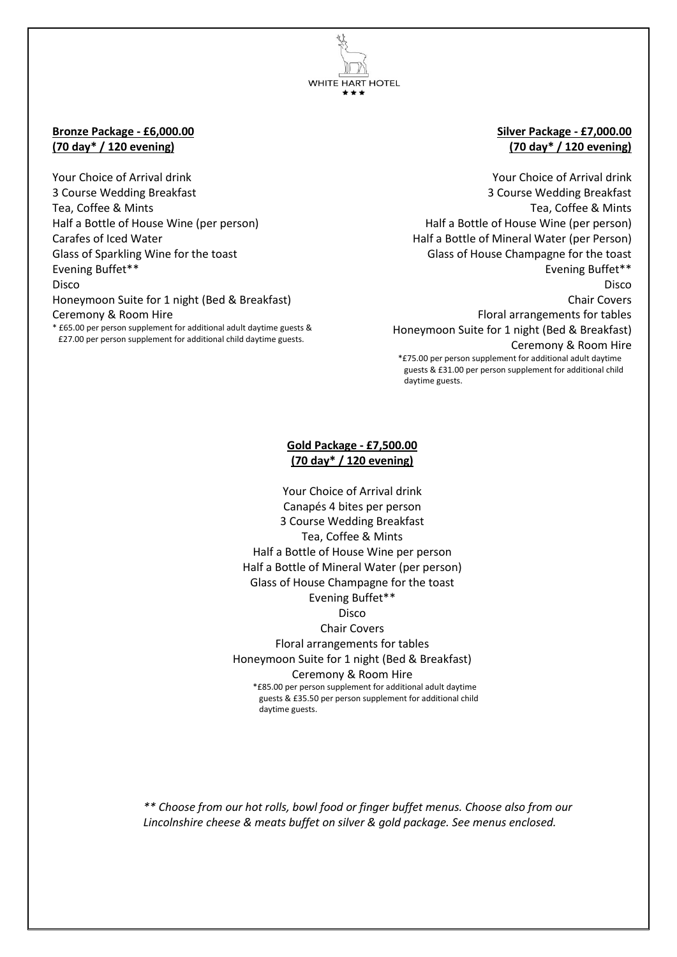**WHITE HART HOTEL** 

#### **Bronze Package - £6,000.00 (70 day\* / 120 evening)**

Your Choice of Arrival drink 3 Course Wedding Breakfast Tea, Coffee & Mints Half a Bottle of House Wine (per person) Carafes of Iced Water Glass of Sparkling Wine for the toast Evening Buffet\*\* Disco Honeymoon Suite for 1 night (Bed & Breakfast) Ceremony & Room Hire \* £65.00 per person supplement for additional adult daytime guests & £27.00 per person supplement for additional child daytime guests.

#### **Silver Package - £7,000.00 (70 day\* / 120 evening)**

Your Choice of Arrival drink 3 Course Wedding Breakfast Tea, Coffee & Mints Half a Bottle of House Wine (per person) Half a Bottle of Mineral Water (per Person) Glass of House Champagne for the toast Evening Buffet\*\* Disco Chair Covers Floral arrangements for tables Honeymoon Suite for 1 night (Bed & Breakfast) Ceremony & Room Hire \*£75.00 per person supplement for additional adult daytime guests & £31.00 per person supplement for additional child daytime guests.

#### **Gold Package - £7,500.00 (70 day\* / 120 evening)**

Your Choice of Arrival drink Canapés 4 bites per person 3 Course Wedding Breakfast Tea, Coffee & Mints Half a Bottle of House Wine per person Half a Bottle of Mineral Water (per person) Glass of House Champagne for the toast Evening Buffet\*\* Disco Chair Covers Floral arrangements for tables Honeymoon Suite for 1 night (Bed & Breakfast) Ceremony & Room Hire \*£85.00 per person supplement for additional adult daytime guests & £35.50 per person supplement for additional child daytime guests.

*\*\* Choose from our hot rolls, bowl food or finger buffet menus. Choose also from our Lincolnshire cheese & meats buffet on silver & gold package. See menus enclosed.*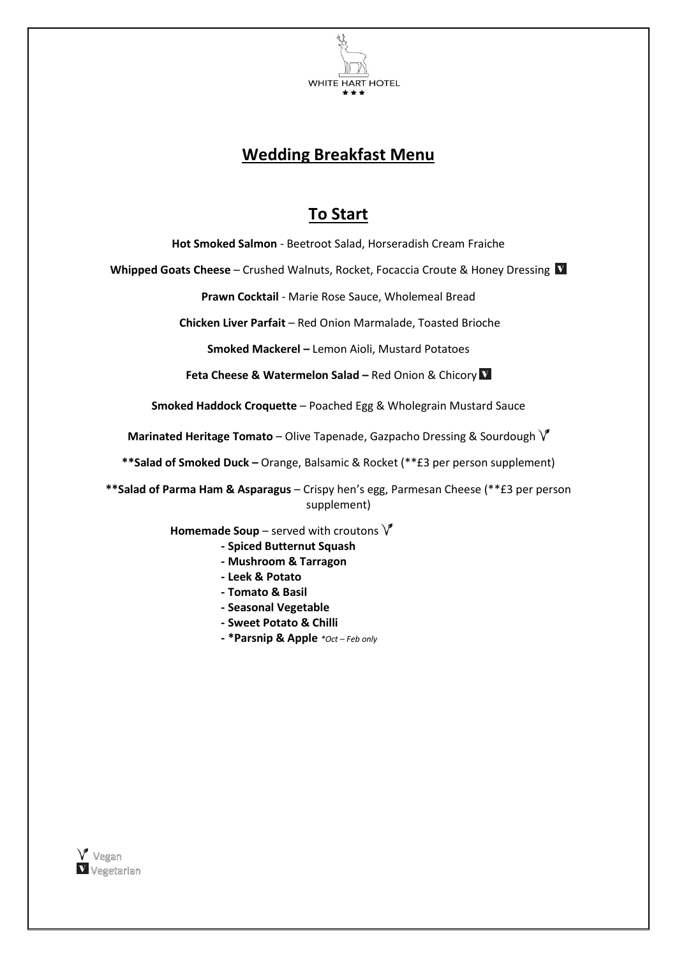

## **Wedding Breakfast Menu**

### **To Start**

**Hot Smoked Salmon** - Beetroot Salad, Horseradish Cream Fraiche

**Whipped Goats Cheese** – Crushed Walnuts, Rocket, Focaccia Croute & Honey Dressing

**Prawn Cocktail** - Marie Rose Sauce, Wholemeal Bread

**Chicken Liver Parfait** – Red Onion Marmalade, Toasted Brioche

**Smoked Mackerel –** Lemon Aioli, Mustard Potatoes

**Feta Cheese & Watermelon Salad – Red Onion & Chicory <b>V** 

**Smoked Haddock Croquette** – Poached Egg & Wholegrain Mustard Sauce

**Marinated Heritage Tomato** – Olive Tapenade, Gazpacho Dressing & Sourdough V

**\*\*Salad of Smoked Duck –** Orange, Balsamic & Rocket (\*\*£3 per person supplement)

**\*\*Salad of Parma Ham & Asparagus** – Crispy hen's egg, Parmesan Cheese (\*\*£3 per person supplement)

 **Homemade Soup** – served with croutons

- **- Spiced Butternut Squash**
- **- Mushroom & Tarragon**
- **- Leek & Potato**
- **- Tomato & Basil**
- **- Seasonal Vegetable**
- **- Sweet Potato & Chilli**
- **- \*Parsnip & Apple** *\*Oct – Feb only*

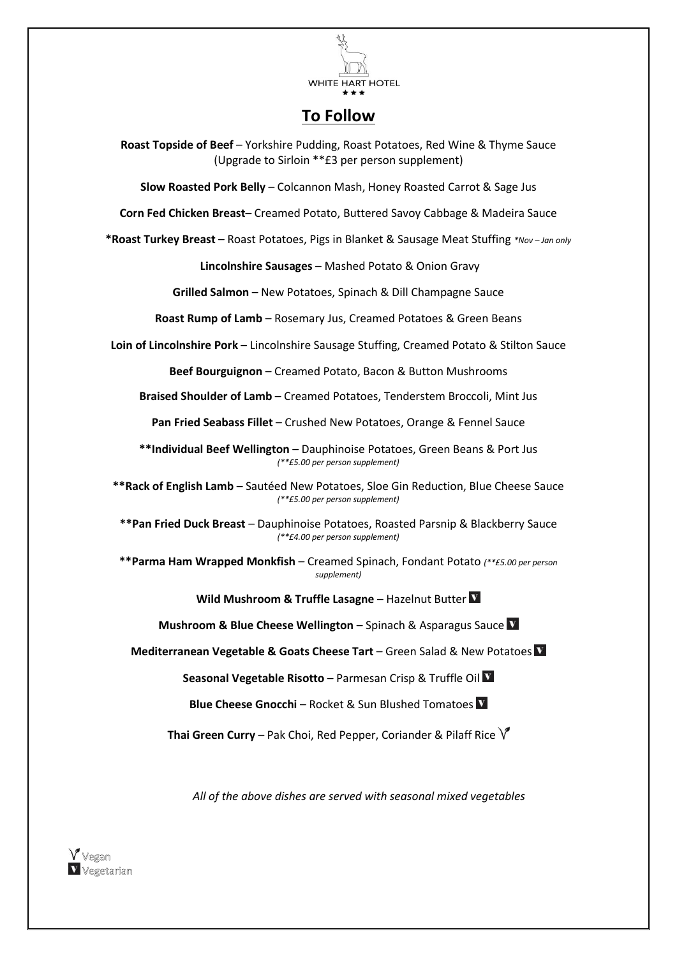

### **To Follow**

**Roast Topside of Beef** – Yorkshire Pudding, Roast Potatoes, Red Wine & Thyme Sauce (Upgrade to Sirloin \*\*£3 per person supplement)

**Slow Roasted Pork Belly** – Colcannon Mash, Honey Roasted Carrot & Sage Jus

**Corn Fed Chicken Breast**– Creamed Potato, Buttered Savoy Cabbage & Madeira Sauce

**\*Roast Turkey Breast** – Roast Potatoes, Pigs in Blanket & Sausage Meat Stuffing *\*Nov – Jan only*

**Lincolnshire Sausages** – Mashed Potato & Onion Gravy

**Grilled Salmon** – New Potatoes, Spinach & Dill Champagne Sauce

**Roast Rump of Lamb** – Rosemary Jus, Creamed Potatoes & Green Beans

**Loin of Lincolnshire Pork** – Lincolnshire Sausage Stuffing, Creamed Potato & Stilton Sauce

**Beef Bourguignon** – Creamed Potato, Bacon & Button Mushrooms

**Braised Shoulder of Lamb** – Creamed Potatoes, Tenderstem Broccoli, Mint Jus

**Pan Fried Seabass Fillet** – Crushed New Potatoes, Orange & Fennel Sauce

**\*\*Individual Beef Wellington** – Dauphinoise Potatoes, Green Beans & Port Jus *(\*\*£5.00 per person supplement)*

**\*\*Rack of English Lamb** – Sautéed New Potatoes, Sloe Gin Reduction, Blue Cheese Sauce *(\*\*£5.00 per person supplement)*

**\*\*Pan Fried Duck Breast** – Dauphinoise Potatoes, Roasted Parsnip & Blackberry Sauce *(\*\*£4.00 per person supplement)*

**\*\*Parma Ham Wrapped Monkfish** – Creamed Spinach, Fondant Potato *(\*\*£5.00 per person supplement)*

**Wild Mushroom & Truffle Lasagne** – Hazelnut Butter

**Mushroom & Blue Cheese Wellington** – Spinach & Asparagus Sauce **N** 

**Mediterranean Vegetable & Goats Cheese Tart** – Green Salad & New Potatoes

**Seasonal Vegetable Risotto** – Parmesan Crisp & Truffle Oil

**Blue Cheese Gnocchi** – Rocket & Sun Blushed Tomatoes

**Thai Green Curry** – Pak Choi, Red Pepper, Coriander & Pilaff Rice  $\sqrt{\ }$ 

*All of the above dishes are served with seasonal mixed vegetables*

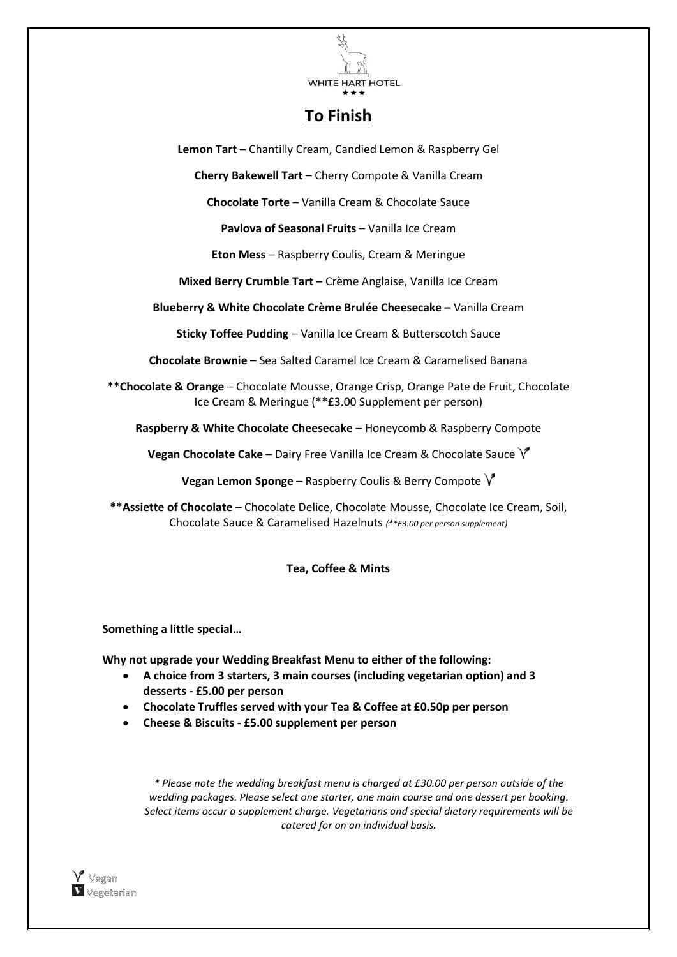

### **To Finish**

**Lemon Tart** – Chantilly Cream, Candied Lemon & Raspberry Gel

**Cherry Bakewell Tart** – Cherry Compote & Vanilla Cream

**Chocolate Torte** – Vanilla Cream & Chocolate Sauce

**Pavlova of Seasonal Fruits** – Vanilla Ice Cream

**Eton Mess** – Raspberry Coulis, Cream & Meringue

**Mixed Berry Crumble Tart –** Crème Anglaise, Vanilla Ice Cream

**Blueberry & White Chocolate Crème Brulée Cheesecake –** Vanilla Cream

**Sticky Toffee Pudding** – Vanilla Ice Cream & Butterscotch Sauce

**Chocolate Brownie** – Sea Salted Caramel Ice Cream & Caramelised Banana

**\*\*Chocolate & Orange** – Chocolate Mousse, Orange Crisp, Orange Pate de Fruit, Chocolate Ice Cream & Meringue (\*\*£3.00 Supplement per person)

**Raspberry & White Chocolate Cheesecake** – Honeycomb & Raspberry Compote

**Vegan Chocolate Cake** – Dairy Free Vanilla Ice Cream & Chocolate Sauce V

**Vegan Lemon Sponge** – Raspberry Coulis & Berry Compote

**\*\*Assiette of Chocolate** – Chocolate Delice, Chocolate Mousse, Chocolate Ice Cream, Soil, Chocolate Sauce & Caramelised Hazelnuts *(\*\*£3.00 per person supplement)*

#### **Tea, Coffee & Mints**

#### **Something a little special…**

**Why not upgrade your Wedding Breakfast Menu to either of the following:**

- **A choice from 3 starters, 3 main courses (including vegetarian option) and 3 desserts - £5.00 per person**
- **Chocolate Truffles served with your Tea & Coffee at £0.50p per person**
- **Cheese & Biscuits - £5.00 supplement per person**

*\* Please note the wedding breakfast menu is charged at £30.00 per person outside of the wedding packages. Please select one starter, one main course and one dessert per booking. Select items occur a supplement charge. Vegetarians and special dietary requirements will be catered for on an individual basis.*

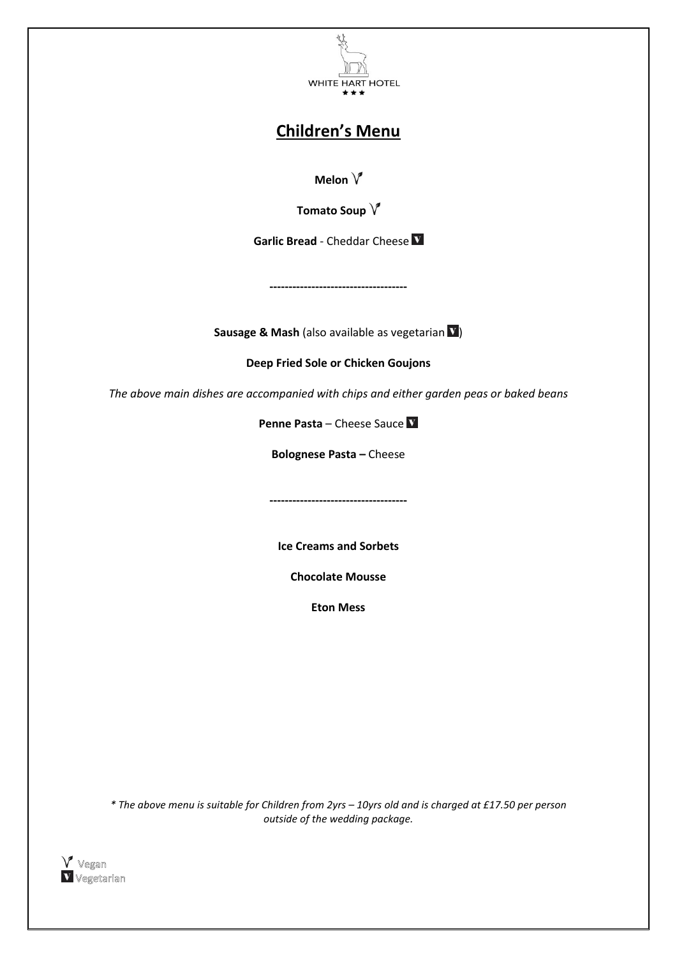

## **Children's Menu**

**Melon**

**Tomato Soup** 

**Garlic Bread** - Cheddar Cheese

**Sausage & Mash** (also available as vegetarian  $\mathbf{V}$ )

**------------------------------------**

**Deep Fried Sole or Chicken Goujons** 

*The above main dishes are accompanied with chips and either garden peas or baked beans*

**Penne Pasta** – Cheese Sauce V

**Bolognese Pasta –** Cheese

**------------------------------------**

**Ice Creams and Sorbets**

**Chocolate Mousse**

**Eton Mess**

*\* The above menu is suitable for Children from 2yrs – 10yrs old and is charged at £17.50 per person outside of the wedding package.*

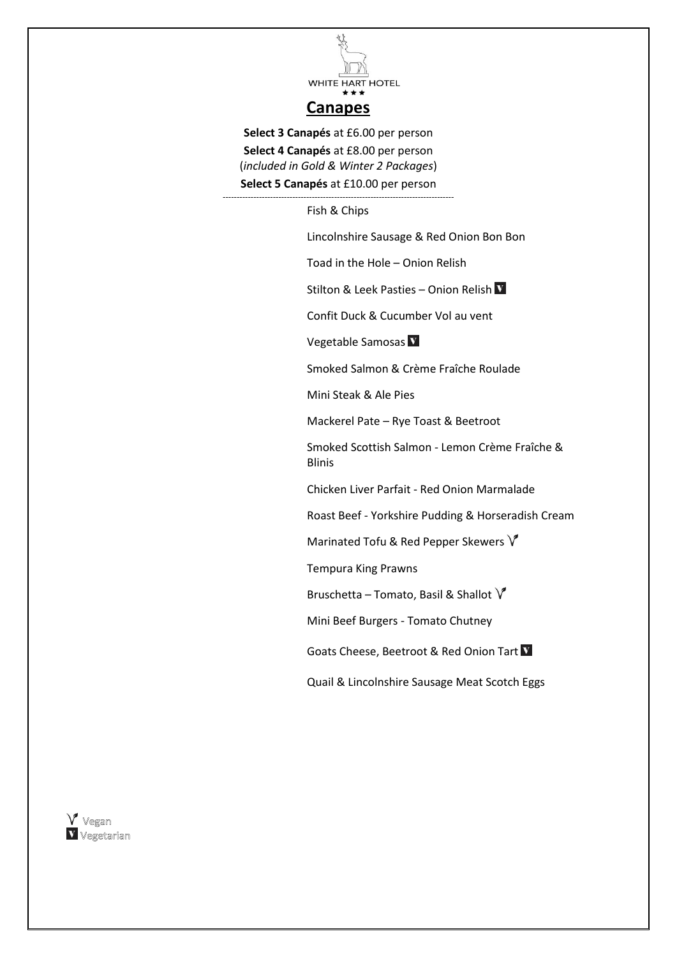

### **Canapes**

**Select 3 Canapés** at £6.00 per person

**Select 4 Canapés** at £8.00 per person (*included in Gold & Winter 2 Packages*)

**Select 5 Canapés** at £10.00 per person -----------------------------------------------------------------------------------

Fish & Chips

Lincolnshire Sausage & Red Onion Bon Bon

Toad in the Hole – Onion Relish

Stilton & Leek Pasties – Onion Relish V

Confit Duck & Cucumber Vol au vent

Vegetable Samosas V

Smoked Salmon & Crème Fraîche Roulade

Mini Steak & Ale Pies

Mackerel Pate – Rye Toast & Beetroot

Smoked Scottish Salmon - Lemon Crème Fraîche & Blinis

Chicken Liver Parfait - Red Onion Marmalade

Roast Beef - Yorkshire Pudding & Horseradish Cream

Marinated Tofu & Red Pepper Skewers  $\sqrt{\ }$ 

Tempura King Prawns

Bruschetta – Tomato, Basil & Shallot  $\sqrt{\ }$ 

Mini Beef Burgers - Tomato Chutney

Goats Cheese, Beetroot & Red Onion Tart

Quail & Lincolnshire Sausage Meat Scotch Eggs

 $V$  Vegan V Vegetarian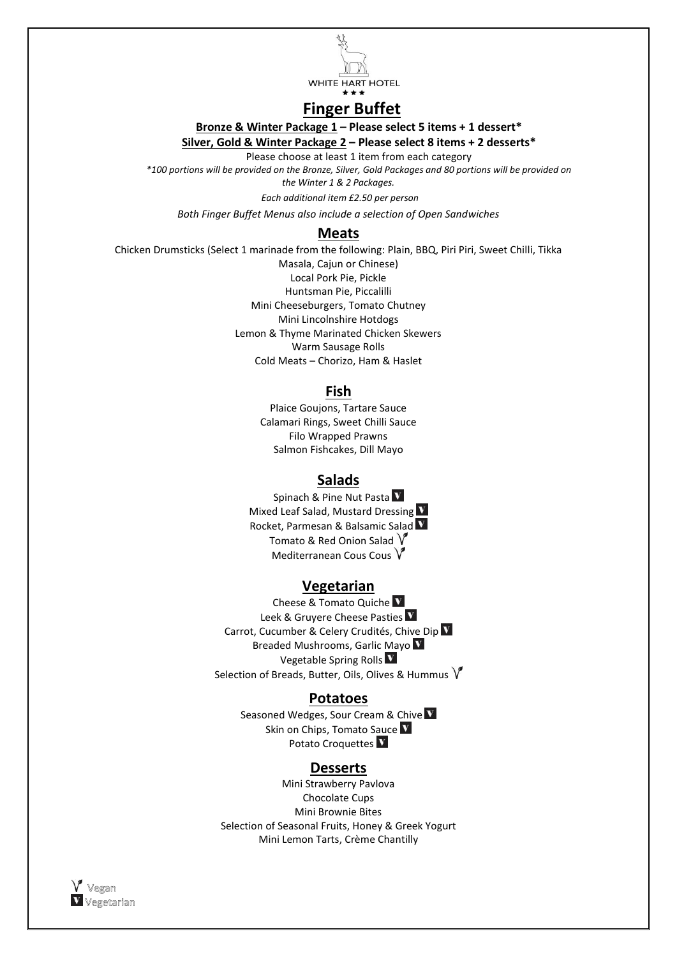

# **Finger Buffet**

**Bronze & Winter Package 1 – Please select 5 items + 1 dessert\***

**Silver, Gold & Winter Package 2 – Please select 8 items + 2 desserts\***

Please choose at least 1 item from each category

*\*100 portions will be provided on the Bronze, Silver, Gold Packages and 80 portions will be provided on the Winter 1 & 2 Packages.*

 *Each additional item £2.50 per person*

*Both Finger Buffet Menus also include a selection of Open Sandwiches*

#### **Meats**

Chicken Drumsticks (Select 1 marinade from the following: Plain, BBQ, Piri Piri, Sweet Chilli, Tikka Masala, Cajun or Chinese) Local Pork Pie, Pickle Huntsman Pie, Piccalilli Mini Cheeseburgers, Tomato Chutney Mini Lincolnshire Hotdogs Lemon & Thyme Marinated Chicken Skewers Warm Sausage Rolls Cold Meats – Chorizo, Ham & Haslet

### **Fish**

Plaice Goujons, Tartare Sauce Calamari Rings, Sweet Chilli Sauce Filo Wrapped Prawns Salmon Fishcakes, Dill Mayo

### **Salads**

Spinach & Pine Nut Pasta V Mixed Leaf Salad, Mustard Dressing V Rocket, Parmesan & Balsamic Salad Tomato & Red Onion Salad  $\sqrt{\ }$ Mediterranean Cous Cous  $V$ 

### **Vegetarian**

Cheese & Tomato Quiche Leek & Gruyere Cheese Pasties V Carrot, Cucumber & Celery Crudités, Chive Dip Breaded Mushrooms, Garlic Mayo Vegetable Spring Rolls Selection of Breads, Butter, Oils, Olives & Hummus  $\sqrt{\ }$ 

#### **Potatoes**

Seasoned Wedges, Sour Cream & Chive V Skin on Chips, Tomato Sauce V Potato Croquettes V

#### **Desserts**

Mini Strawberry Pavlova Chocolate Cups Mini Brownie Bites Selection of Seasonal Fruits, Honey & Greek Yogurt Mini Lemon Tarts, Crème Chantilly

 $V$  Vegan V Vegetarian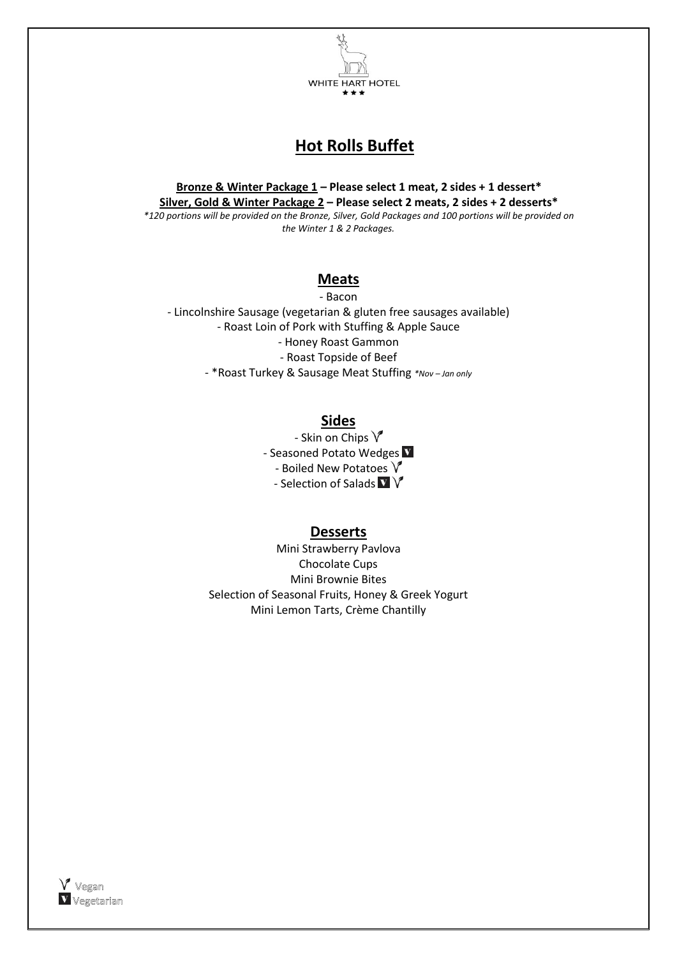

# **Hot Rolls Buffet**

**Bronze & Winter Package 1 – Please select 1 meat, 2 sides + 1 dessert\* Silver, Gold & Winter Package 2 – Please select 2 meats, 2 sides + 2 desserts\*** *\*120 portions will be provided on the Bronze, Silver, Gold Packages and 100 portions will be provided on the Winter 1 & 2 Packages.*

### **Meats**

- Bacon - Lincolnshire Sausage (vegetarian & gluten free sausages available) - Roast Loin of Pork with Stuffing & Apple Sauce - Honey Roast Gammon - Roast Topside of Beef - \*Roast Turkey & Sausage Meat Stuffing *\*Nov – Jan only*

**Sides**

- Skin on Chips  $\sqrt{\ }$ - Seasoned Potato Wedges - Boiled New Potatoes  $\sqrt{\ }$ - Selection of Salads  $\mathbf{V}$   $\mathbf{V}$ 

### **Desserts**

Mini Strawberry Pavlova Chocolate Cups Mini Brownie Bites Selection of Seasonal Fruits, Honey & Greek Yogurt Mini Lemon Tarts, Crème Chantilly

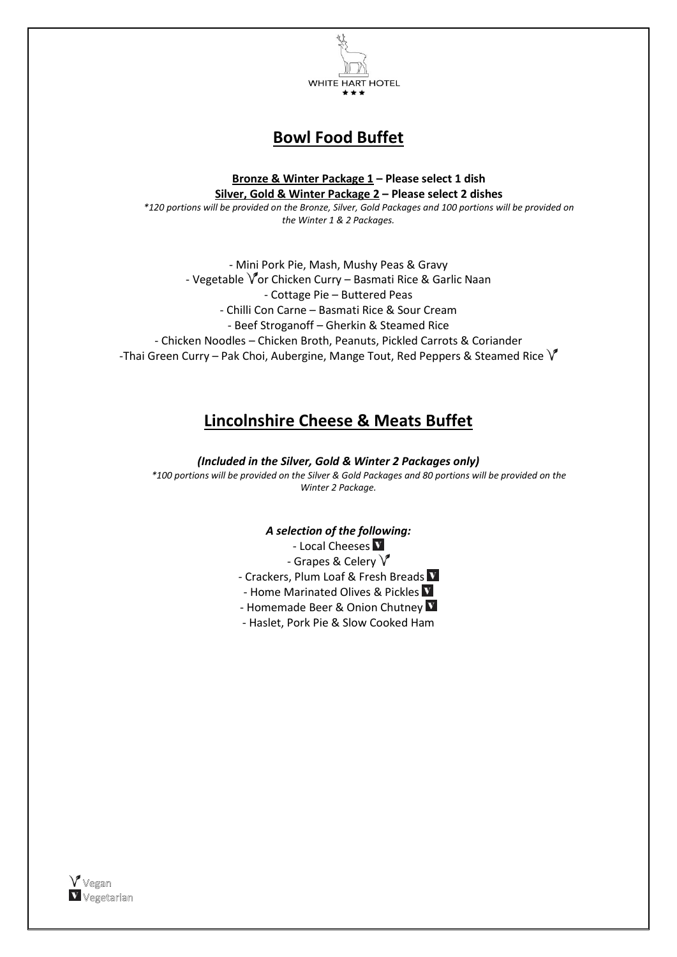

## **Bowl Food Buffet**

**Bronze & Winter Package 1 – Please select 1 dish Silver, Gold & Winter Package 2 – Please select 2 dishes** *\*120 portions will be provided on the Bronze, Silver, Gold Packages and 100 portions will be provided on the Winter 1 & 2 Packages.*

- Mini Pork Pie, Mash, Mushy Peas & Gravy - Vegetable  $\sqrt{\ }$ or Chicken Curry – Basmati Rice & Garlic Naan - Cottage Pie – Buttered Peas - Chilli Con Carne – Basmati Rice & Sour Cream - Beef Stroganoff – Gherkin & Steamed Rice - Chicken Noodles – Chicken Broth, Peanuts, Pickled Carrots & Coriander -Thai Green Curry – Pak Choi, Aubergine, Mange Tout, Red Peppers & Steamed Rice  $\sqrt{\ }$ 

### **Lincolnshire Cheese & Meats Buffet**

*(Included in the Silver, Gold & Winter 2 Packages only) \*100 portions will be provided on the Silver & Gold Packages and 80 portions will be provided on the Winter 2 Package.*

#### *A selection of the following:*

- Local Cheeses V - Grapes & Celery  $V$ 

- Crackers, Plum Loaf & Fresh Breads V

- Home Marinated Olives & Pickles

- Homemade Beer & Onion Chutney V

- Haslet, Pork Pie & Slow Cooked Ham

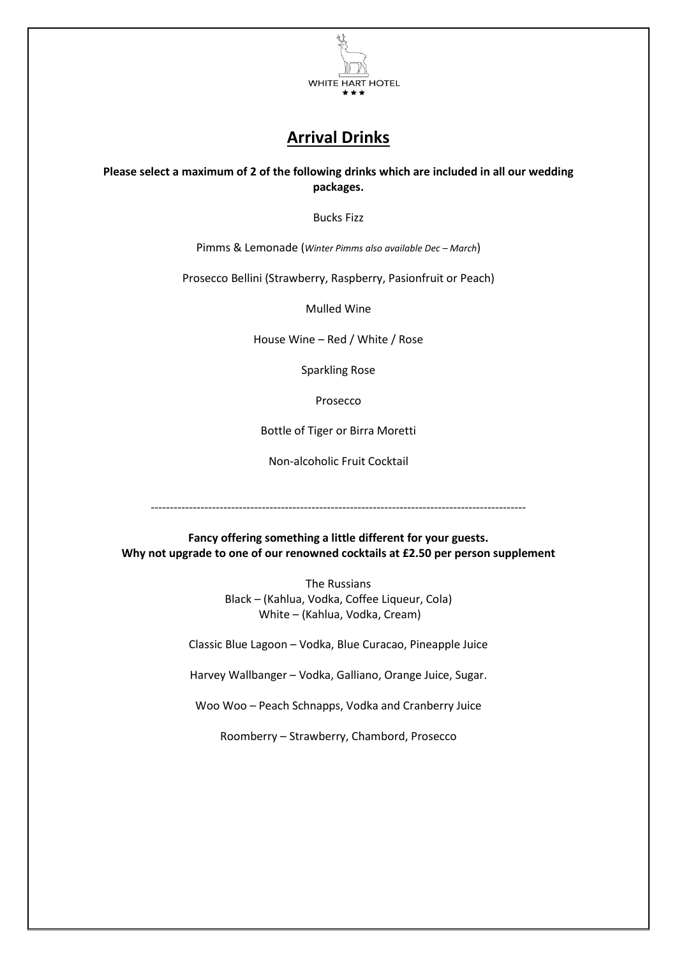

# **Arrival Drinks**

**Please select a maximum of 2 of the following drinks which are included in all our wedding packages.**

Bucks Fizz

Pimms & Lemonade (*Winter Pimms also available Dec – March*)

Prosecco Bellini (Strawberry, Raspberry, Pasionfruit or Peach)

Mulled Wine

House Wine – Red / White / Rose

Sparkling Rose

Prosecco

Bottle of Tiger or Birra Moretti

Non-alcoholic Fruit Cocktail

--------------------------------------------------------------------------------------------------

**Fancy offering something a little different for your guests. Why not upgrade to one of our renowned cocktails at £2.50 per person supplement**

> The Russians Black – (Kahlua, Vodka, Coffee Liqueur, Cola) White – (Kahlua, Vodka, Cream)

Classic Blue Lagoon – Vodka, Blue Curacao, Pineapple Juice

Harvey Wallbanger – Vodka, Galliano, Orange Juice, Sugar.

Woo Woo – Peach Schnapps, Vodka and Cranberry Juice

Roomberry – Strawberry, Chambord, Prosecco